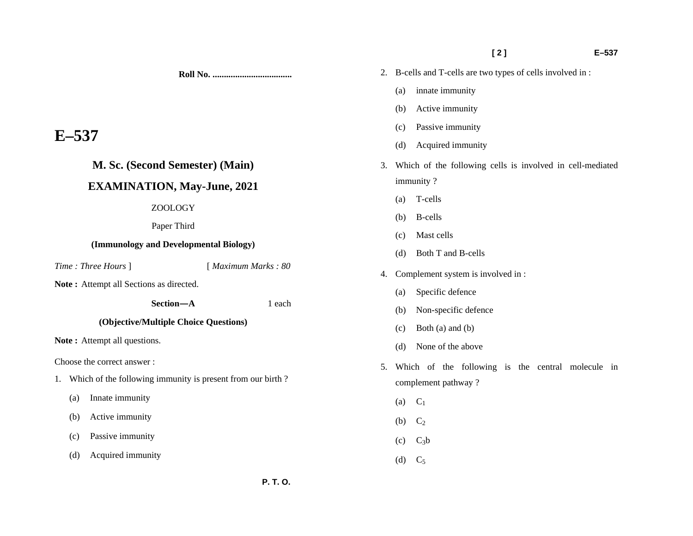**[ 2 ] E–537** 

3. Which of the following cells is involved in cell-mediated

5. Which of the following is the central molecule in

2. B-cells and T-cells are two types of cells involved in :

(a) innate immunity

(b) Active immunity

(c) Passive immunity

immunity ?

(a) T-cells

(b) B-cells

(c) Mast cells

(d) Both T and B-cells

(a) Specific defence

(c) Both (a) and (b)

(d) None of the above

(b) Non-specific defence

4. Complement system is involved in :

(d) Acquired immunity

**Roll No. ...................................** 

# **E–537**

## **M. Sc. (Second Semester) (Main)**

# **EXAMINATION, May-June, 2021**

#### ZOOLOGY

Paper Third

#### **(Immunology and Developmental Biology)**

*Time : Three Hours* ] [ *Maximum Marks : 80* 

Note: Attempt all Sections as directed.

 **Section—A** 1 each

#### **(Objective/Multiple Choice Questions)**

Note: Attempt all questions.

Choose the correct answer :

- 1. Which of the following immunity is present from our birth ?
	- (a) Innate immunity
	- (b) Active immunity
	- (c) Passive immunity
	- (d) Acquired immunity
- complement pathway ?
- $(a)$   $C_1$
- (b)  $C_2$
- $(c)$   $C_3b$
- (d)  $C_5$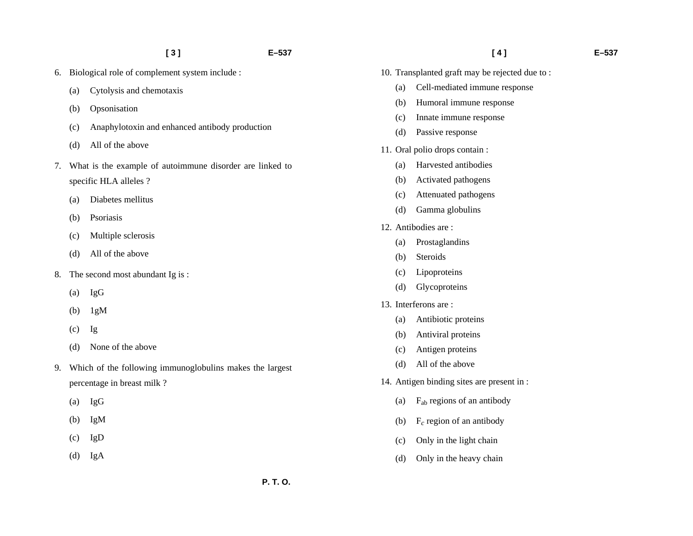- 6. Biological role of complement system include :
	- (a) Cytolysis and chemotaxis
	- (b) Opsonisation
	- (c) Anaphylotoxin and enhanced antibody production
	- (d) All of the above
- 7. What is the example of autoimmune disorder are linked to specific HLA alleles ?
	- (a) Diabetes mellitus
	- (b) Psoriasis
	- (c) Multiple sclerosis
	- (d) All of the above
- 8. The second most abundant Ig is :
	- (a) IgG
	- (b) 1gM
	- (c) Ig
	- (d) None of the above
- 9. Which of the following immunoglobulins makes the largest percentage in breast milk ?
	- (a) IgG
	- (b) IgM
	- (c) IgD
	- (d) IgA
- 
- 10. Transplanted graft may be rejected due to :
	- (a) Cell-mediated immune response
	- (b) Humoral immune response
	- (c) Innate immune response
	- (d) Passive response
- 11. Oral polio drops contain :
	- (a) Harvested antibodies
	- (b) Activated pathogens
	- (c) Attenuated pathogens
	- (d) Gamma globulins
- 12. Antibodies are :
	- (a) Prostaglandins
	- (b) Steroids
	- (c) Lipoproteins
	- (d) Glycoproteins
- 13. Interferons are :
	- (a) Antibiotic proteins
	- (b) Antiviral proteins
	- (c) Antigen proteins
	- (d) All of the above
- 14. Antigen binding sites are present in :
	- (a) Fab regions of an antibody
	- (b) F*c* region of an antibody
	- (c) Only in the light chain
	- (d) Only in the heavy chain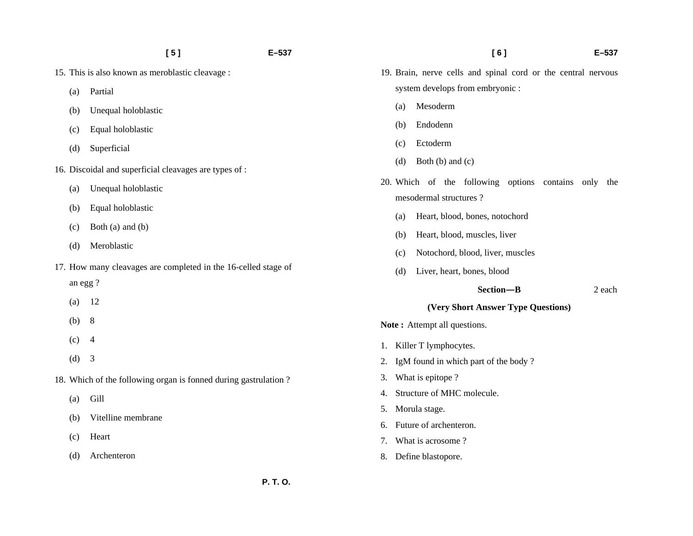- 15. This is also known as meroblastic cleavage :
	- (a) Partial
	- (b) Unequal holoblastic
	- (c) Equal holoblastic
	- (d) Superficial
- 16. Discoidal and superficial cleavages are types of :
	- (a) Unequal holoblastic
	- (b) Equal holoblastic
	- (c) Both (a) and (b)
	- (d) Meroblastic
- 17. How many cleavages are completed in the 16-celled stage of an egg ?
	- (a) 12
	- (b) 8
	- $(c)$  4
	- (d) 3
- 18. Which of the following organ is fonned during gastrulation ?
	- (a) Gill
	- (b) Vitelline membrane
	- (c) Heart
	- (d) Archenteron
- 19. Brain, nerve cells and spinal cord or the central nervous system develops from embryonic :
	- (a) Mesoderm
	- (b) Endodenn
	- (c) Ectoderm
	- (d) Both (b) and (c)
- 20. Which of the following options contains only the mesodermal structures ?
	- (a) Heart, blood, bones, notochord
	- (b) Heart, blood, muscles, liver
	- (c) Notochord, blood, liver, muscles
	- (d) Liver, heart, bones, blood
		- **Section—B** 2 each

#### **(Very Short Answer Type Questions)**

Note: Attempt all questions.

- 1. Killer T lymphocytes.
- 2. IgM found in which part of the body ?
- 3. What is epitope ?
- 4. Structure of MHC molecule.
- 5. Morula stage.
- 6. Future of archenteron.
- 7. What is acrosome ?
- 8. Define blastopore.